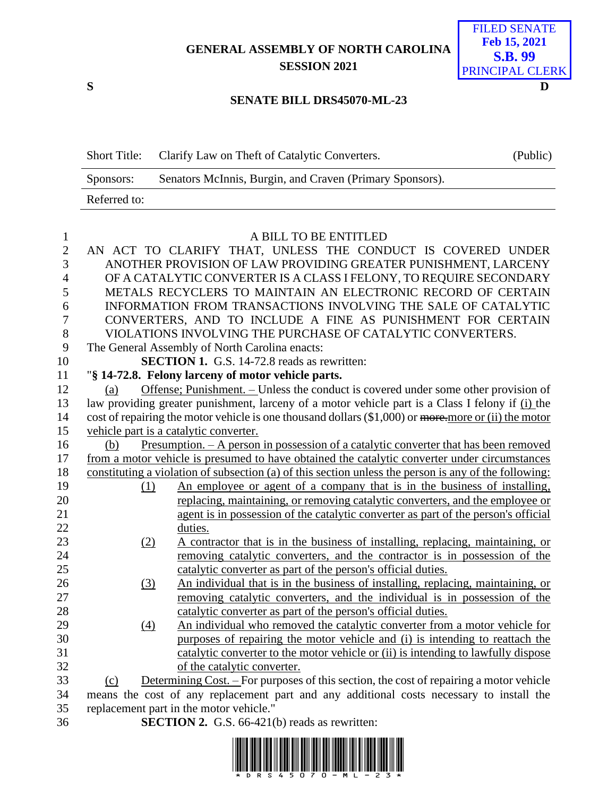## **GENERAL ASSEMBLY OF NORTH CAROLINA SESSION 2021**



## **SENATE BILL DRS45070-ML-23**

|              | Short Title: Clarify Law on Theft of Catalytic Converters. | (Public) |
|--------------|------------------------------------------------------------|----------|
| Sponsors:    | Senators McInnis, Burgin, and Craven (Primary Sponsors).   |          |
| Referred to: |                                                            |          |

| $\mathbf{1}$   |                   | A BILL TO BE ENTITLED                                                                                                                                             |
|----------------|-------------------|-------------------------------------------------------------------------------------------------------------------------------------------------------------------|
| $\mathbf{2}$   |                   | AN ACT TO CLARIFY THAT, UNLESS THE CONDUCT IS COVERED UNDER                                                                                                       |
| 3              |                   | ANOTHER PROVISION OF LAW PROVIDING GREATER PUNISHMENT, LARCENY                                                                                                    |
| $\overline{4}$ |                   | OF A CATALYTIC CONVERTER IS A CLASS I FELONY, TO REQUIRE SECONDARY                                                                                                |
| 5              |                   | METALS RECYCLERS TO MAINTAIN AN ELECTRONIC RECORD OF CERTAIN                                                                                                      |
| 6              |                   | INFORMATION FROM TRANSACTIONS INVOLVING THE SALE OF CATALYTIC                                                                                                     |
| 7              |                   | CONVERTERS, AND TO INCLUDE A FINE AS PUNISHMENT FOR CERTAIN                                                                                                       |
| 8              |                   | VIOLATIONS INVOLVING THE PURCHASE OF CATALYTIC CONVERTERS.                                                                                                        |
| 9              |                   | The General Assembly of North Carolina enacts:                                                                                                                    |
| 10             |                   | <b>SECTION 1.</b> G.S. 14-72.8 reads as rewritten:                                                                                                                |
| 11             |                   | "§ 14-72.8. Felony larceny of motor vehicle parts.                                                                                                                |
| 12             | (a)               | Offense; Punishment. - Unless the conduct is covered under some other provision of                                                                                |
| 13             |                   | law providing greater punishment, larceny of a motor vehicle part is a Class I felony if (i) the                                                                  |
| 14             |                   | cost of repairing the motor vehicle is one thousand dollars (\$1,000) or more.more or (ii) the motor                                                              |
| 15             |                   | vehicle part is a catalytic converter.                                                                                                                            |
| 16             | (b)               | Presumption. - A person in possession of a catalytic converter that has been removed                                                                              |
| 17             |                   | from a motor vehicle is presumed to have obtained the catalytic converter under circumstances                                                                     |
| 18             |                   | constituting a violation of subsection (a) of this section unless the person is any of the following:                                                             |
| 19             | (1)               | An employee or agent of a company that is in the business of installing,                                                                                          |
| 20             |                   | replacing, maintaining, or removing catalytic converters, and the employee or                                                                                     |
| 21             |                   | agent is in possession of the catalytic converter as part of the person's official                                                                                |
| 22             |                   | duties.                                                                                                                                                           |
| 23             | (2)               | A contractor that is in the business of installing, replacing, maintaining, or                                                                                    |
| 24             |                   | removing catalytic converters, and the contractor is in possession of the                                                                                         |
| 25             |                   | catalytic converter as part of the person's official duties.                                                                                                      |
| 26             | (3)               | An individual that is in the business of installing, replacing, maintaining, or                                                                                   |
| 27             |                   | removing catalytic converters, and the individual is in possession of the                                                                                         |
| 28             |                   | catalytic converter as part of the person's official duties.                                                                                                      |
| 29<br>30       | $\underline{(4)}$ | An individual who removed the catalytic converter from a motor vehicle for                                                                                        |
| 31             |                   | purposes of repairing the motor vehicle and (i) is intending to reattach the<br>catalytic converter to the motor vehicle or (ii) is intending to lawfully dispose |
| 32             |                   | of the catalytic converter.                                                                                                                                       |
| 33             | (c)               | Determining Cost. – For purposes of this section, the cost of repairing a motor vehicle                                                                           |
| 34             |                   | means the cost of any replacement part and any additional costs necessary to install the                                                                          |
| 35             |                   | replacement part in the motor vehicle."                                                                                                                           |
| 36             |                   | <b>SECTION 2.</b> G.S. 66-421(b) reads as rewritten:                                                                                                              |
|                |                   |                                                                                                                                                                   |

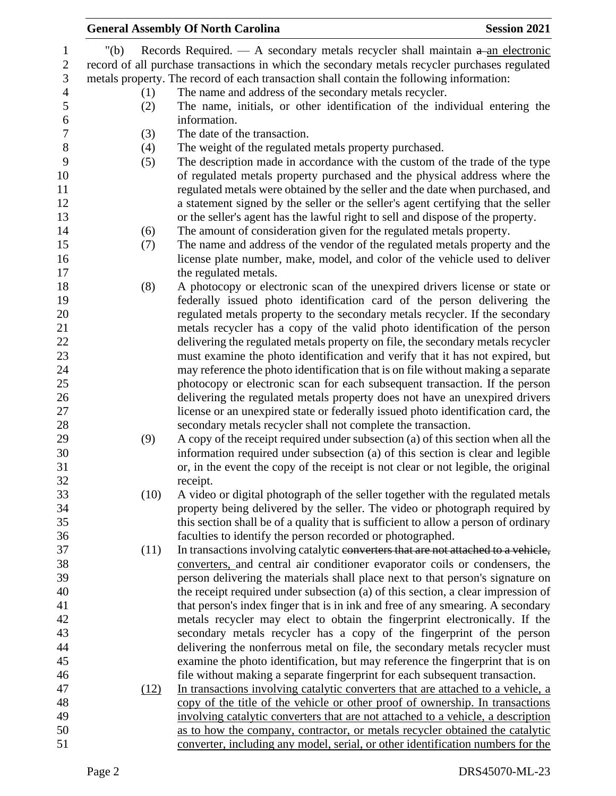|                  |         | <b>General Assembly Of North Carolina</b>                                                      | <b>Session 2021</b> |
|------------------|---------|------------------------------------------------------------------------------------------------|---------------------|
| $\mathbf{1}$     | " $(b)$ | Records Required. — A secondary metals recycler shall maintain $a$ -an electronic              |                     |
| $\mathbf{2}$     |         | record of all purchase transactions in which the secondary metals recycler purchases regulated |                     |
| 3                |         | metals property. The record of each transaction shall contain the following information:       |                     |
| $\overline{4}$   | (1)     | The name and address of the secondary metals recycler.                                         |                     |
| 5                | (2)     | The name, initials, or other identification of the individual entering the                     |                     |
| $\boldsymbol{6}$ |         | information.                                                                                   |                     |
| $\boldsymbol{7}$ | (3)     | The date of the transaction.                                                                   |                     |
| $\,8\,$          | (4)     | The weight of the regulated metals property purchased.                                         |                     |
| 9                | (5)     | The description made in accordance with the custom of the trade of the type                    |                     |
| 10               |         | of regulated metals property purchased and the physical address where the                      |                     |
| 11               |         | regulated metals were obtained by the seller and the date when purchased, and                  |                     |
| 12               |         | a statement signed by the seller or the seller's agent certifying that the seller              |                     |
| 13               |         | or the seller's agent has the lawful right to sell and dispose of the property.                |                     |
| 14               | (6)     | The amount of consideration given for the regulated metals property.                           |                     |
| 15               | (7)     | The name and address of the vendor of the regulated metals property and the                    |                     |
| 16               |         | license plate number, make, model, and color of the vehicle used to deliver                    |                     |
| 17               |         | the regulated metals.                                                                          |                     |
| 18               |         | A photocopy or electronic scan of the unexpired drivers license or state or                    |                     |
| 19               | (8)     | federally issued photo identification card of the person delivering the                        |                     |
| 20               |         | regulated metals property to the secondary metals recycler. If the secondary                   |                     |
| 21               |         | metals recycler has a copy of the valid photo identification of the person                     |                     |
| 22               |         | delivering the regulated metals property on file, the secondary metals recycler                |                     |
| 23               |         | must examine the photo identification and verify that it has not expired, but                  |                     |
| 24               |         | may reference the photo identification that is on file without making a separate               |                     |
| 25               |         | photocopy or electronic scan for each subsequent transaction. If the person                    |                     |
| 26               |         | delivering the regulated metals property does not have an unexpired drivers                    |                     |
| 27               |         | license or an unexpired state or federally issued photo identification card, the               |                     |
| 28               |         | secondary metals recycler shall not complete the transaction.                                  |                     |
| 29               | (9)     | A copy of the receipt required under subsection (a) of this section when all the               |                     |
| 30               |         | information required under subsection (a) of this section is clear and legible                 |                     |
| 31               |         | or, in the event the copy of the receipt is not clear or not legible, the original             |                     |
| 32               |         | receipt.                                                                                       |                     |
| 33               | (10)    | A video or digital photograph of the seller together with the regulated metals                 |                     |
| 34               |         | property being delivered by the seller. The video or photograph required by                    |                     |
| 35               |         | this section shall be of a quality that is sufficient to allow a person of ordinary            |                     |
| 36               |         | faculties to identify the person recorded or photographed.                                     |                     |
| 37               | (11)    | In transactions involving catalytic converters that are not attached to a vehicle,             |                     |
| 38               |         | converters, and central air conditioner evaporator coils or condensers, the                    |                     |
| 39               |         | person delivering the materials shall place next to that person's signature on                 |                     |
| 40               |         | the receipt required under subsection (a) of this section, a clear impression of               |                     |
| 41               |         | that person's index finger that is in ink and free of any smearing. A secondary                |                     |
| 42               |         | metals recycler may elect to obtain the fingerprint electronically. If the                     |                     |
| 43               |         | secondary metals recycler has a copy of the fingerprint of the person                          |                     |
| 44               |         | delivering the nonferrous metal on file, the secondary metals recycler must                    |                     |
| 45               |         | examine the photo identification, but may reference the fingerprint that is on                 |                     |
| 46               |         | file without making a separate fingerprint for each subsequent transaction.                    |                     |
| 47               | (12)    | In transactions involving catalytic converters that are attached to a vehicle, a               |                     |
| 48               |         | copy of the title of the vehicle or other proof of ownership. In transactions                  |                     |
| 49               |         | involving catalytic converters that are not attached to a vehicle, a description               |                     |
| 50               |         | as to how the company, contractor, or metals recycler obtained the catalytic                   |                     |
| 51               |         | converter, including any model, serial, or other identification numbers for the                |                     |